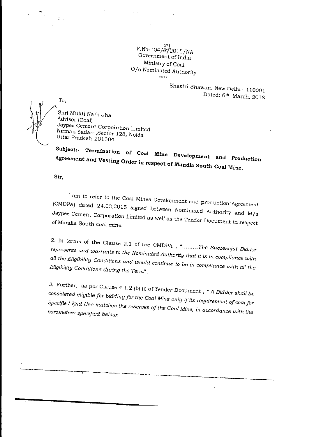P.No-104/872015/NA Government of India Ministry of Coal 0/o Nominated Authority

> Shastri Bhawan, New Delhi - 110001 Dated: 6<sup>th</sup> March, 2018

To,

 $\mathcal{L}$  .

Shri Mukti Nath Jha Advisor (Coal) Jaypee Cement Corporation Limited Nirman Sadan ,Sector 128, Noida Uttar Pradesh-201304

Subject:- Termination of Coal Mine Development and Production Agreement and Vesting Order in respect of Mandla South Coal Mine.

Sir,

I am to refer to the Coal Mines Development and production Agreement (CMDPA) dated 24.03.2015 signed between Nominated Authority and M/s  $J<sub>F</sub>$ , corporation Limited as well as the Tender Document in respectively. of Mandla South coal mine.

2. In terms of the Clause 2.1 of the CMDPA  $\alpha$ *The Successful Bidder represents and warrants to the Nominated Authority that it is in compliance with all the Eligibility Conditions and would continue to be in compliance with all the Eligibility Conditions during the Term".* 

3. Further, as per Clause 4.1.2 (b) (i) of Tender Document *A Bidder shall be considered eligible for bidding for the Coal Mine only if its requirement of coal for Specified End Use matches the reserves of the Coal Mine, in accordance with the parameters specified below:*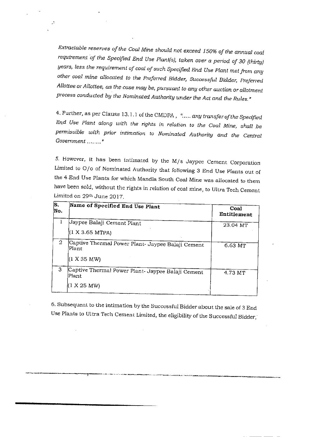*Extractable reserves of the Coal Mine should not exceed 150% of the annual coal*  requirement of the Specified End Use Plant(s), taken over a period of 30 (thirty) *years, less the requirement of coal of such Specified End Use Plant met from any other coal mine allocated to the Preferred Bidder, Successful Bidder, Preferred Allottee or Allottee, as the case may be, pursuant to any other auction or allotment process conducted by the Nominated Authority under the Act and the Rules.°* 

 $\mathbf{.}$ 

4. Further, as per Clause 13.1.1 of the OMURA , " *any transfer of the Specified End Use Plant along with the rights in relation to the Coal Mine, shall he permissible with prior intimation to Nominated Authority and the Central Government* 

*5.* However, it has been intimated by the M/s Jaypee Cement Corporation Limited to 0/o of Nominated Authority that following 3 End Use Plants out of the 4 End Use Plants for which Mandla South Coal Mine was allocated to them have been sold, without the rights in relation of coal mine, to Ultra Tech Cement Limited on 29<sup>th</sup> June 2017.

| lS.<br>Mo. | Name of Specified End Use Plant                                           | Coal<br>Entitlement |
|------------|---------------------------------------------------------------------------|---------------------|
| Ŧ          | Jaypee Balaji Cement Plant<br>(1 X 3.65 MTPA)                             | 23.04 MT            |
| 2          | Captive Thermal Power Plant- Jaypee Balaji Cement<br>Plant<br>(1 X 35 MW) | 6.63 MT             |
| 3          | Captive Thermal Power Plant- Jaypee Balaji Cement<br>lPlant<br>1 X 25 MW) | 4.73 MT             |

6. Subsequent to the intimation by the Successful Bidder about the sale of 3 End Use Plants to Ultra Tech Cement Limited, the eligibility of the Successful Bidder,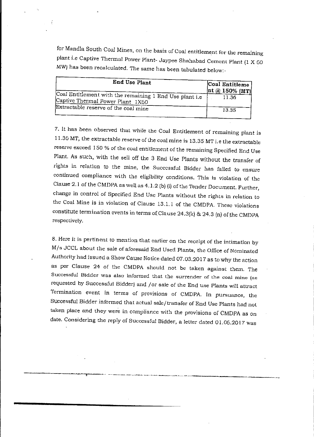for Mandla South Coal Mines, on the basis of Coal entitlement for the remaining plant i.e Captive Thermal Power Plant- Jaypee Shahabad Cement Plant (1 X 60 MW) has been recalculated. The same has been tabulated below:-

| End Use Plant                                                                               | Coal Entitleme'<br>$ nt \t@ 150\t%$ (MT) |
|---------------------------------------------------------------------------------------------|------------------------------------------|
| Coal Entitlement with the remaining 1 End Use plant i.e<br>Captive Thermal Power Plant 1X60 | 11.36                                    |
| Extractable reserve of the coal mine                                                        | 13.35                                    |

7. It has been observed that while the Coal Entitlement of remaining plant is 11.36 MT, the extractable reserve of the coal mine is 13.35 MT i.e the extractable reserve exceed 150 % of the coal entitlement of the remaining Specified End Use Plant. As such, with the sell off the 3 End Use Plants without the transfer of rights in relation to the mine, the Successful Bidder has failed to ensure continued compliance with the eligibility conditions. This is violation of the Clause 2.1 of the CMDPA as well as 4.1.2 (b) (i) of the Tender Document. Further, change in control of Specified End Use Plants without the rights in relation to the Coal Mine is in violation of Clause 13.1.1 of the CMDPA. These violations constitute termination events in terms of Clause 24.3(k) & 24.3 (n) of the CMDPA respectively.

8. Here it is pertinent to mention that earlier on the receipt of the intimation by M/s JCCL about the sale of aforesaid End Used Plants, the Office of Nominated Authority had issued a Show Cause Notice dated 07.03.2017 as to why the action as per Clause 24 of the CMDPA should not be taken against them. The Successful Bidder was also informed that the surrender of the coal mine (as requested by Successful Bidder) and /or sale of the End use Plants will attract Termination event in terms of provisions of CMDPA. In pursuance, the Successful Bidder informed that actual sale/transfer of End Use Plants had not taken place and they were in compliance with the provisions of CMDPA as on date. Considering the reply of Successful Bidder, a letter dated 01.06.2017 was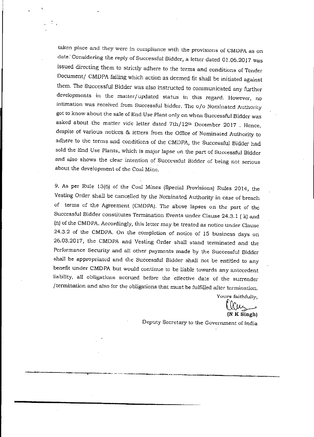taken place and they were in compliance with the provisions of CMDPA as on date: Considering the reply of Successful Bidder, a letter dated 01.06.2017 was issued directing them to strictly adhere to the terms and conditions of Tender Document/ CMDPA failing which action as deemed fit shall be initiated against them. The Successful Bidder was also instructed to communicated any further developments in the matter/updated status in this regard. However, no intimation was received from Successful bidder. The o/o Nominated Authority got to know about the sale of End Use Plant only on when Successful Bidder was asked about the matter vide letter dated 7th/12th December 2017 . Hence, despite of various notices & letters from the Office of Nominated Authority to adhere to the terms and conditions of the CMDPA, the Successful Bidder had sold the End Use Plants, which is major lapse on the part of Successful Bidder and also shows the clear intention of Successful Bidder of being not serious about the development of the Coal Mine.

9, As per Rule 13(6) of the Coal Mines (Special Provisions) Rules 2014, the Vesting Order shall be cancelled by the Nominated Authority in case of breach of terms of the Agreement (CMDPA). The above lapses on the part of the Successful Bidder constitutes Termination Events under Clause 24.3.1 ( k) and (n) of the CMDPA. Accordingly, this letter may be treated as notice under Clause 24.3.2 of the CMDPA. On the completion of notice of 15 business days on 26.03.2017, the CMDPA and Vesting Order shall stand terminated and the Performance Security and all other payments made by the Successful Bidder shall be appropriated and the Successful Bidder shall not be entitled to any benefit under CMDPA but would continue to be liable towards any antecedent liability, all obligations accrued before the effective date of the surrender /termination and also for the obligations that must be fulfilled after termination.

Yours faithfully,

 $\omega$ (N K Singh)

Deputy Secretary to the Government of India